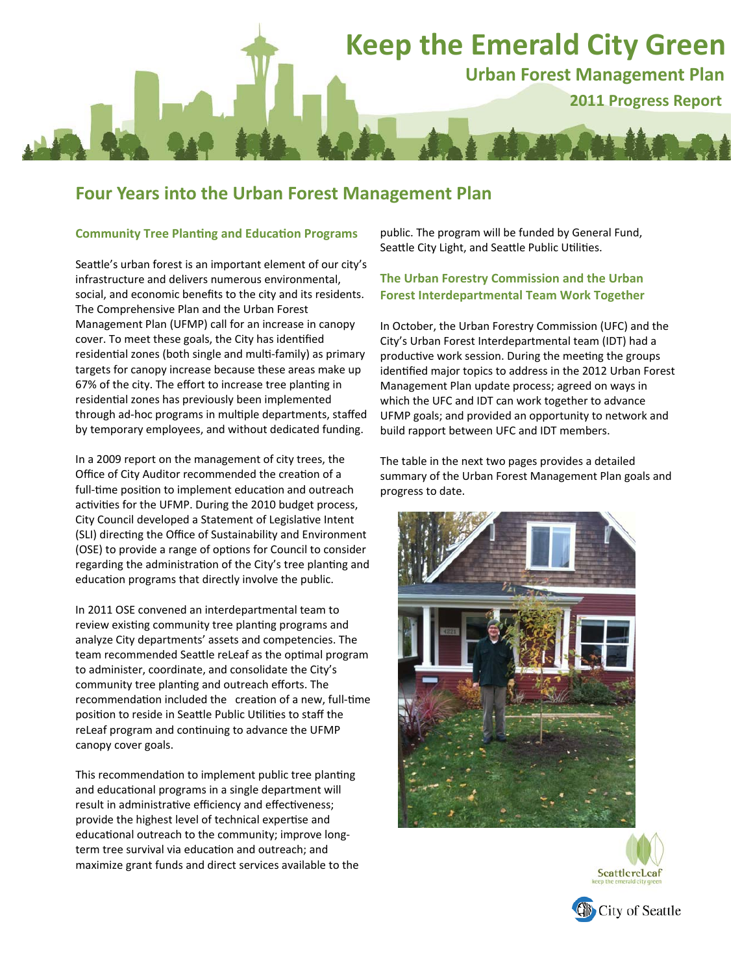# **Keep the Emerald City Green**

**Urban Forest Management Plan 2011 Progress Report**

### **Four Years into the Urban Forest Management Plan**

#### **Community Tree PlanƟng and EducaƟon Programs**

Seattle's urban forest is an important element of our city's infrastructure and delivers numerous environmental, social, and economic benefits to the city and its residents. The Comprehensive Plan and the Urban Forest Management Plan (UFMP) call for an increase in canopy cover. To meet these goals, the City has identified residential zones (both single and multi-family) as primary targets for canopy increase because these areas make up 67% of the city. The effort to increase tree planting in residential zones has previously been implemented through ad-hoc programs in multiple departments, staffed by temporary employees, and without dedicated funding.

In a 2009 report on the management of city trees, the Office of City Auditor recommended the creation of a full-time position to implement education and outreach activities for the UFMP. During the 2010 budget process, City Council developed a Statement of Legislative Intent (SLI) directing the Office of Sustainability and Environment (OSE) to provide a range of options for Council to consider regarding the administration of the City's tree planting and education programs that directly involve the public.

In 2011 OSE convened an interdepartmental team to review existing community tree planting programs and analyze City departments' assets and competencies. The team recommended Seattle reLeaf as the optimal program to administer, coordinate, and consolidate the City's community tree planting and outreach efforts. The recommendation included the creation of a new, full-time position to reside in Seattle Public Utilities to staff the reLeaf program and continuing to advance the UFMP canopy cover goals.

This recommendation to implement public tree planting and educational programs in a single department will result in administrative efficiency and effectiveness; provide the highest level of technical expertise and educational outreach to the community; improve longterm tree survival via education and outreach; and maximize grant funds and direct services available to the

public. The program will be funded by General Fund, Seattle City Light, and Seattle Public Utilities.

#### **The Urban Forestry Commission and the Urban Forest Interdepartmental Team Work Together**

In October, the Urban Forestry Commission (UFC) and the City's Urban Forest Interdepartmental team (IDT) had a productive work session. During the meeting the groups identified major topics to address in the 2012 Urban Forest Management Plan update process; agreed on ways in which the UFC and IDT can work together to advance UFMP goals; and provided an opportunity to network and build rapport between UFC and IDT members.

The table in the next two pages provides a detailed summary of the Urban Forest Management Plan goals and progress to date.





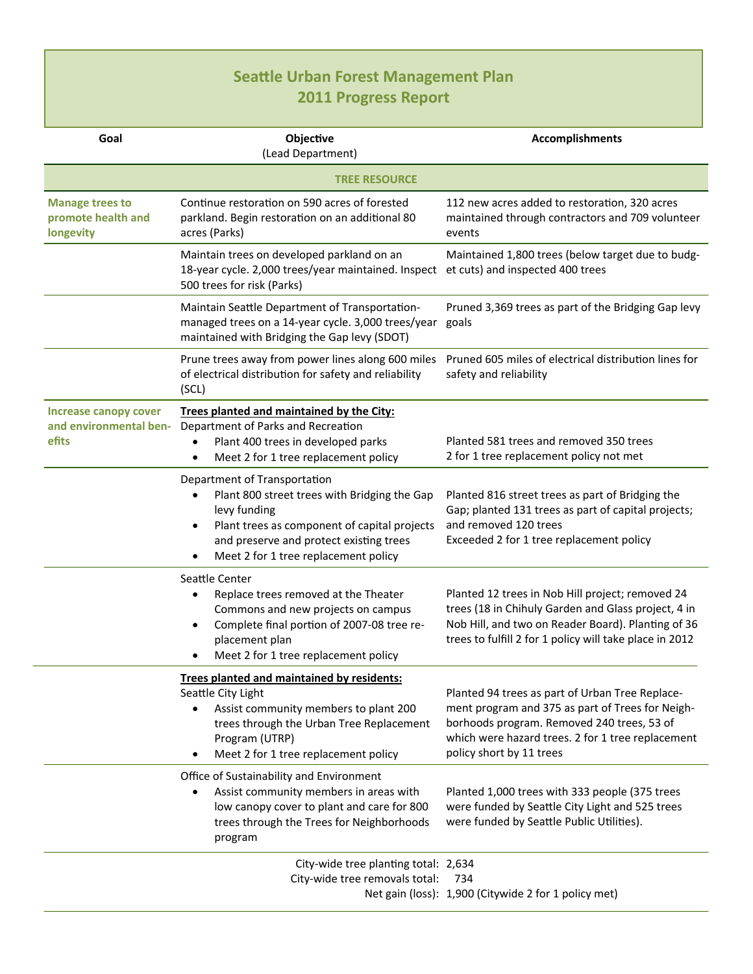# **SeaƩle Urban Forest Management Plan 2011 Progress Report**

| Goal                                                      | Objective<br>(Lead Department)                                                                                                                                                                                                  | <b>Accomplishments</b>                                                                                                                                                                                                             |
|-----------------------------------------------------------|---------------------------------------------------------------------------------------------------------------------------------------------------------------------------------------------------------------------------------|------------------------------------------------------------------------------------------------------------------------------------------------------------------------------------------------------------------------------------|
|                                                           | <b>TREE RESOURCE</b>                                                                                                                                                                                                            |                                                                                                                                                                                                                                    |
| <b>Manage trees to</b><br>promote health and<br>longevity | Continue restoration on 590 acres of forested<br>parkland. Begin restoration on an additional 80<br>acres (Parks)                                                                                                               | 112 new acres added to restoration, 320 acres<br>maintained through contractors and 709 volunteer<br>events                                                                                                                        |
|                                                           | Maintain trees on developed parkland on an<br>18-year cycle. 2,000 trees/year maintained. Inspect<br>500 trees for risk (Parks)                                                                                                 | Maintained 1,800 trees (below target due to budg-<br>et cuts) and inspected 400 trees                                                                                                                                              |
|                                                           | Maintain Seattle Department of Transportation-<br>managed trees on a 14-year cycle. 3,000 trees/year<br>maintained with Bridging the Gap levy (SDOT)                                                                            | Pruned 3,369 trees as part of the Bridging Gap levy<br>goals                                                                                                                                                                       |
|                                                           | Prune trees away from power lines along 600 miles<br>of electrical distribution for safety and reliability<br>(SCL)                                                                                                             | Pruned 605 miles of electrical distribution lines for<br>safety and reliability                                                                                                                                                    |
| <b>Increase canopy cover</b>                              | Trees planted and maintained by the City:                                                                                                                                                                                       |                                                                                                                                                                                                                                    |
| and environmental ben-<br>efits                           | Department of Parks and Recreation<br>Plant 400 trees in developed parks<br>$\bullet$<br>Meet 2 for 1 tree replacement policy<br>$\bullet$                                                                                      | Planted 581 trees and removed 350 trees<br>2 for 1 tree replacement policy not met                                                                                                                                                 |
|                                                           | Department of Transportation<br>Plant 800 street trees with Bridging the Gap<br>levy funding<br>Plant trees as component of capital projects<br>and preserve and protect existing trees<br>Meet 2 for 1 tree replacement policy | Planted 816 street trees as part of Bridging the<br>Gap; planted 131 trees as part of capital projects;<br>and removed 120 trees<br>Exceeded 2 for 1 tree replacement policy                                                       |
|                                                           | Seattle Center<br>Replace trees removed at the Theater<br>Commons and new projects on campus<br>Complete final portion of 2007-08 tree re-<br>$\bullet$<br>placement plan<br>Meet 2 for 1 tree replacement policy               | Planted 12 trees in Nob Hill project; removed 24<br>trees (18 in Chihuly Garden and Glass project, 4 in<br>Nob Hill, and two on Reader Board). Planting of 36<br>trees to fulfill 2 for 1 policy will take place in 2012           |
|                                                           | Trees planted and maintained by residents:<br>Seattle City Light<br>Assist community members to plant 200<br>trees through the Urban Tree Replacement<br>Program (UTRP)<br>Meet 2 for 1 tree replacement policy                 | Planted 94 trees as part of Urban Tree Replace-<br>ment program and 375 as part of Trees for Neigh-<br>borhoods program. Removed 240 trees, 53 of<br>which were hazard trees. 2 for 1 tree replacement<br>policy short by 11 trees |
|                                                           | Office of Sustainability and Environment<br>Assist community members in areas with<br>low canopy cover to plant and care for 800<br>trees through the Trees for Neighborhoods<br>program                                        | Planted 1,000 trees with 333 people (375 trees<br>were funded by Seattle City Light and 525 trees<br>were funded by Seattle Public Utilities).                                                                                     |
|                                                           | City-wide tree planting total: 2,634<br>City-wide tree removals total:                                                                                                                                                          | 734<br>Net gain (loss): 1,900 (Citywide 2 for 1 policy met)                                                                                                                                                                        |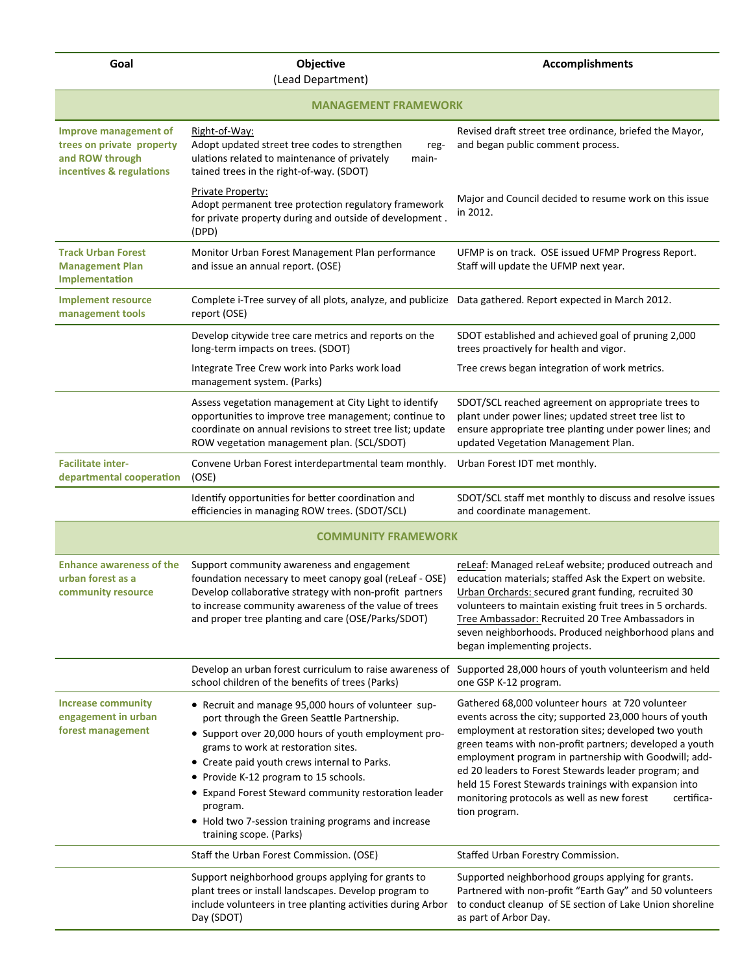**Goal Company Objective** 

| (Lead Department)                                                                                        |                                                                                                                                                                                                                                                                                                                                                                                                                                                  |                                                                                                                                                                                                                                                                                                                                                                                                                                                                                       |  |
|----------------------------------------------------------------------------------------------------------|--------------------------------------------------------------------------------------------------------------------------------------------------------------------------------------------------------------------------------------------------------------------------------------------------------------------------------------------------------------------------------------------------------------------------------------------------|---------------------------------------------------------------------------------------------------------------------------------------------------------------------------------------------------------------------------------------------------------------------------------------------------------------------------------------------------------------------------------------------------------------------------------------------------------------------------------------|--|
| <b>MANAGEMENT FRAMEWORK</b>                                                                              |                                                                                                                                                                                                                                                                                                                                                                                                                                                  |                                                                                                                                                                                                                                                                                                                                                                                                                                                                                       |  |
| <b>Improve management of</b><br>trees on private property<br>and ROW through<br>incentives & regulations | Right-of-Way:<br>Adopt updated street tree codes to strengthen<br>reg-<br>ulations related to maintenance of privately<br>main-<br>tained trees in the right-of-way. (SDOT)                                                                                                                                                                                                                                                                      | Revised draft street tree ordinance, briefed the Mayor,<br>and began public comment process.                                                                                                                                                                                                                                                                                                                                                                                          |  |
|                                                                                                          | Private Property:<br>Adopt permanent tree protection regulatory framework<br>for private property during and outside of development.<br>(DPD)                                                                                                                                                                                                                                                                                                    | Major and Council decided to resume work on this issue<br>in 2012.                                                                                                                                                                                                                                                                                                                                                                                                                    |  |
| <b>Track Urban Forest</b><br><b>Management Plan</b><br>Implementation                                    | Monitor Urban Forest Management Plan performance<br>and issue an annual report. (OSE)                                                                                                                                                                                                                                                                                                                                                            | UFMP is on track. OSE issued UFMP Progress Report.<br>Staff will update the UFMP next year.                                                                                                                                                                                                                                                                                                                                                                                           |  |
| <b>Implement resource</b><br>management tools                                                            | Complete i-Tree survey of all plots, analyze, and publicize Data gathered. Report expected in March 2012.<br>report (OSE)                                                                                                                                                                                                                                                                                                                        |                                                                                                                                                                                                                                                                                                                                                                                                                                                                                       |  |
|                                                                                                          | Develop citywide tree care metrics and reports on the<br>long-term impacts on trees. (SDOT)                                                                                                                                                                                                                                                                                                                                                      | SDOT established and achieved goal of pruning 2,000<br>trees proactively for health and vigor.                                                                                                                                                                                                                                                                                                                                                                                        |  |
|                                                                                                          | Integrate Tree Crew work into Parks work load<br>management system. (Parks)                                                                                                                                                                                                                                                                                                                                                                      | Tree crews began integration of work metrics.                                                                                                                                                                                                                                                                                                                                                                                                                                         |  |
|                                                                                                          | Assess vegetation management at City Light to identify<br>opportunities to improve tree management; continue to<br>coordinate on annual revisions to street tree list; update<br>ROW vegetation management plan. (SCL/SDOT)                                                                                                                                                                                                                      | SDOT/SCL reached agreement on appropriate trees to<br>plant under power lines; updated street tree list to<br>ensure appropriate tree planting under power lines; and<br>updated Vegetation Management Plan.                                                                                                                                                                                                                                                                          |  |
| <b>Facilitate inter-</b><br>departmental cooperation                                                     | Convene Urban Forest interdepartmental team monthly.<br>(OSE)                                                                                                                                                                                                                                                                                                                                                                                    | Urban Forest IDT met monthly.                                                                                                                                                                                                                                                                                                                                                                                                                                                         |  |
|                                                                                                          | Identify opportunities for better coordination and<br>efficiencies in managing ROW trees. (SDOT/SCL)                                                                                                                                                                                                                                                                                                                                             | SDOT/SCL staff met monthly to discuss and resolve issues<br>and coordinate management.                                                                                                                                                                                                                                                                                                                                                                                                |  |
| <b>COMMUNITY FRAMEWORK</b>                                                                               |                                                                                                                                                                                                                                                                                                                                                                                                                                                  |                                                                                                                                                                                                                                                                                                                                                                                                                                                                                       |  |
| <b>Enhance awareness of the</b><br>urban forest as a<br>community resource                               | Support community awareness and engagement<br>foundation necessary to meet canopy goal (reLeaf - OSE)<br>Develop collaborative strategy with non-profit partners<br>to increase community awareness of the value of trees<br>and proper tree planting and care (OSE/Parks/SDOT)                                                                                                                                                                  | reLeaf: Managed reLeaf website; produced outreach and<br>education materials; staffed Ask the Expert on website.<br>Urban Orchards: secured grant funding, recruited 30<br>volunteers to maintain existing fruit trees in 5 orchards.<br>Tree Ambassador: Recruited 20 Tree Ambassadors in<br>seven neighborhoods. Produced neighborhood plans and<br>began implementing projects.                                                                                                    |  |
|                                                                                                          | Develop an urban forest curriculum to raise awareness of<br>school children of the benefits of trees (Parks)                                                                                                                                                                                                                                                                                                                                     | Supported 28,000 hours of youth volunteerism and held<br>one GSP K-12 program.                                                                                                                                                                                                                                                                                                                                                                                                        |  |
| <b>Increase community</b><br>engagement in urban<br>forest management                                    | • Recruit and manage 95,000 hours of volunteer sup-<br>port through the Green Seattle Partnership.<br>• Support over 20,000 hours of youth employment pro-<br>grams to work at restoration sites.<br>• Create paid youth crews internal to Parks.<br>• Provide K-12 program to 15 schools.<br>• Expand Forest Steward community restoration leader<br>program.<br>• Hold two 7-session training programs and increase<br>training scope. (Parks) | Gathered 68,000 volunteer hours at 720 volunteer<br>events across the city; supported 23,000 hours of youth<br>employment at restoration sites; developed two youth<br>green teams with non-profit partners; developed a youth<br>employment program in partnership with Goodwill; add-<br>ed 20 leaders to Forest Stewards leader program; and<br>held 15 Forest Stewards trainings with expansion into<br>monitoring protocols as well as new forest<br>certifica-<br>tion program. |  |
|                                                                                                          | Staff the Urban Forest Commission. (OSE)                                                                                                                                                                                                                                                                                                                                                                                                         | Staffed Urban Forestry Commission.                                                                                                                                                                                                                                                                                                                                                                                                                                                    |  |
|                                                                                                          | Support neighborhood groups applying for grants to<br>plant trees or install landscapes. Develop program to<br>include volunteers in tree planting activities during Arbor<br>Day (SDOT)                                                                                                                                                                                                                                                         | Supported neighborhood groups applying for grants.<br>Partnered with non-profit "Earth Gay" and 50 volunteers<br>to conduct cleanup of SE section of Lake Union shoreline<br>as part of Arbor Day.                                                                                                                                                                                                                                                                                    |  |